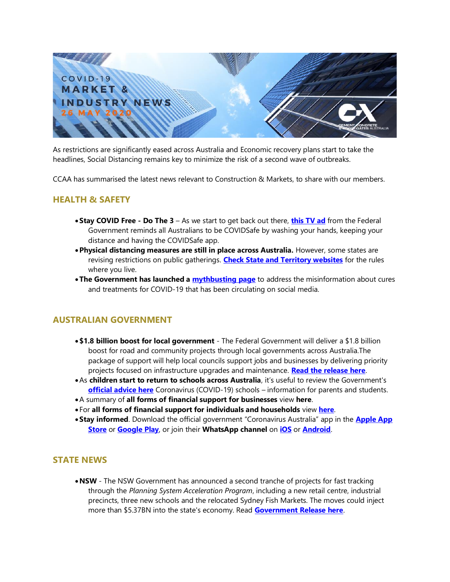

As restrictions are significantly eased across Australia and Economic recovery plans start to take the headlines, Social Distancing remains key to minimize the risk of a second wave of outbreaks.

CCAA has summarised the latest news relevant to Construction & Markets, to share with our members.

### **HEALTH & SAFETY**

- •**Stay COVID Free - Do The 3** As we start to get back out there, **[this TV ad](https://youtu.be/GciJb2ECWgY)** from the Federal Government reminds all Australians to be COVIDSafe by washing your hands, keeping your distance and having the COVIDSafe app.
- •**Physical distancing measures are still in place across Australia.** However, some states are revising restrictions on public gatherings. **[Check State and Territory websites](https://www.australia.gov.au/#state-and-territory-government-information)** for the rules where you live.
- •**The Government has launched a [mythbusting page](https://www.australia.gov.au/content/australia/home/covid-19-mythbusting.html)** to address the misinformation about cures and treatments for COVID-19 that has been circulating on social media.

# **AUSTRALIAN GOVERNMENT**

- •**\$1.8 billion boost for local government** The Federal Government will deliver a \$1.8 billion boost for road and community projects through local governments across Australia.The package of support will help local councils support jobs and businesses by delivering priority projects focused on infrastructure upgrades and maintenance. **[Read the release here](https://minister.infrastructure.gov.au/mccormack/media-release/18-billion-boost-local-government)**.
- •As **children start to return to schools across Australia**, it's useful to review the Government's **[official advice here](https://covid19inlanguage.homeaffairs.gov.au/sites/default/files/2020-05/covid-19-information-and-schools-information-for-parents-and-students.pdf)** Coronavirus (COVID-19) schools – information for parents and students.
- •A summary of **all forms of financial support for businesses** view **[here](https://covid19inlanguage.homeaffairs.gov.au/businesses)**.
- For **all forms of financial support for individuals and households** view **[here](https://covid19inlanguage.homeaffairs.gov.au/individuals-and-households)**.
- •**Stay informed**. Download the official government "Coronavirus Australia" app in the **[Apple App](https://apps.apple.com/au/app/coronavirus-australia/id1503846231)  [Store](https://apps.apple.com/au/app/coronavirus-australia/id1503846231)** or **[Google Play](https://play.google.com/store/apps/details?id=au.gov.health.covid19)**, or join their **WhatsApp channel** on **[iOS](https://apps.apple.com/au/app/whatsapp-messenger/id310633997)** or **[Android](https://play.google.com/store/apps/details?id=com.whatsapp&hl=en_AU)**.

## **STATE NEWS**

•**NSW** - The NSW Government has announced a second tranche of projects for fast tracking through the *Planning System Acceleration Program*, including a new retail centre, industrial precincts, three new schools and the relocated Sydney Fish Markets. The moves could inject more than \$5.37BN into the state's economy. Read **[Government Release here](https://www.nsw.gov.au/media-releases/more-planning-projects-to-propel-future-of-nsw)**.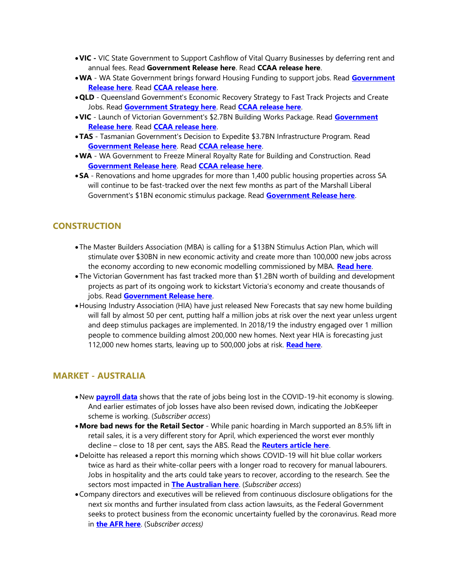- •**VIC -** VIC State Government to Support Cashflow of Vital Quarry Businesses by deferring rent and annual fees. Read **[Government Release here](https://www.premier.vic.gov.au/support-for-victorias-vital-mining-and-quarry-businesses/)**. Read **[CCAA release here](https://www.ccaa.com.au/imis_prod/documents/22052020_VIC_MEDIA%20RELEASE_CCAA_WELCOMES_SUPPORT_FOR_QUARRY_BUSINESSES_BY_VIC_STATE_GOVERNMENT.pdf)**.
- •**WA** WA State Government brings forward Housing Funding to support jobs. Read **[Government](https://www.mediastatements.wa.gov.au/Pages/McGowan/2020/05/McGowan%20Government%20brings%20forward%20housing%20funds%20to%20support%20jobs%20in%20building%20industry.aspx)  [Release here](https://www.mediastatements.wa.gov.au/Pages/McGowan/2020/05/McGowan%20Government%20brings%20forward%20housing%20funds%20to%20support%20jobs%20in%20building%20industry.aspx)**. Read **[CCAA release here](https://www.ccaa.com.au/imis_prod/documents/21052020_WA_MEDIA_RELEASE_CCAA_WELCOMES_HOUSING_ANNOUNCEMENT_BY_WA_GOVERNMENT.pdf)**.
- •**QLD** Queensland Government's Economic Recovery Strategy to Fast Track Projects and Create Jobs. Read **[Government Strategy here](https://www.covid19.qld.gov.au/government-actions/our-economic-recovery-strategy)**. Read **[CCAA release here](https://www.ccaa.com.au/imis_prod/documents/19052020_QLD_CCAA_WELCOMES_QLD_GOVT_ECONOMIC_RECOVERY_STRATEGY.pdf)**.
- •**VIC** Launch of Victorian Government's \$2.7BN Building Works Package. Read **[Government](https://www.premier.vic.gov.au/building-works-more-jobs-for-victorians/)  [Release here](https://www.premier.vic.gov.au/building-works-more-jobs-for-victorians/)**. Read **[CCAA release here](https://view.publitas.com/ccaa/18052020_vic_ccaa_welcomes_launch_of_vic_gov_2-7bn_building_works_package-final/page/1)**.
- •**TAS** Tasmanian Government's Decision to Expedite \$3.7BN Infrastructure Program. Read **[Government Release here](http://www.premier.tas.gov.au/releases/tasmania_to_build_its_way_forward_from_coronavirus)**. Read **[CCAA release here](https://www.ccaa.com.au/imis_prod/documents/15052020_TAS_MEDIA_RELEASE_CCAA_wecomes_TAS_Govs_expedited_3.7bn_infrastructure_program.pdf)**.
- •**WA** WA Government to Freeze Mineral Royalty Rate for Building and Construction. Read **[Government Release here](https://www.mediastatements.wa.gov.au/Pages/McGowan/2020/05/Royalty-rates-for-construction-and-industrial-minerals-fixed-for-five-years.aspx)**. Read **[CCAA release here](https://www.ccaa.com.au/imis_prod/documents/200515_WA_MEDIA%20RELEASE_CCAA_welcomes_mining_royalty_decision_by_WA_Governement.pdf)**.
- •**SA**  Renovations and home upgrades for more than 1,400 public housing properties across SA will continue to be fast-tracked over the next few months as part of the Marshall Liberal Government's \$1BN economic stimulus package. Read **[Government Release here](https://www.premier.sa.gov.au/news/media-releases/news/public-housing-maintenance-stimulus-to-boost-jobs,-economy)**.

### **CONSTRUCTION**

- The Master Builders Association (MBA) is calling for a \$13BN Stimulus Action Plan, which will stimulate over \$30BN in new economic activity and create more than 100,000 new jobs across the economy according to new economic modelling commissioned by MBA. **[Read here](https://www.masterbuilders.com.au/Newsroom/Builders-Call-For-$13-Billion-Stimulus-Action-Plan)**.
- The Victorian Government has fast tracked more than \$1.2BN worth of building and development projects as part of its ongoing work to kickstart Victoria's economy and create thousands of jobs. Read **[Government Release here](https://www.premier.vic.gov.au/building-recovery-taskforce-continues-fast-tracking/)**.
- •Housing Industry Association (HIA) have just released New Forecasts that say new home building will fall by almost 50 per cent, putting half a million jobs at risk over the next year unless urgent and deep stimulus packages are implemented. In 2018/19 the industry engaged over 1 million people to commence building almost 200,000 new homes. Next year HIA is forecasting just 112,000 new homes starts, leaving up to 500,000 jobs at risk. **[Read here](https://hia.com.au/-/media/HIA-Website/Files/Media-Centre/Media-Releases/2020/national/half-a-million-jobs-at-risk.ashx)**.

### **MARKET - AUSTRALIA**

- •New **[payroll data](https://canningscorporatecommunications.us13.list-manage.com/track/click?u=bc63a66fd245708ca6ca5acf6&id=e95f6f2885&e=982ab25c03)** shows that the rate of jobs being lost in the COVID-19-hit economy is slowing. And earlier estimates of job losses have also been revised down, indicating the JobKeeper scheme is working. (*Subscriber access*)
- •**More bad news for the Retail Sector** While panic hoarding in March supported an 8.5% lift in retail sales, it is a very different story for April, which experienced the worst ever monthly decline – close to 18 per cent, says the ABS. Read the **[Reuters article here](https://canningscorporatecommunications.us13.list-manage.com/track/click?u=bc63a66fd245708ca6ca5acf6&id=fd8ffa5a5c&e=982ab25c03)**.
- •Deloitte has released a report this morning which shows COVID-19 will hit blue collar workers twice as hard as their white-collar peers with a longer road to recovery for manual labourers. Jobs in hospitality and the arts could take years to recover, according to the research. See the sectors most impacted in **[The Australian here](https://canningscorporatecommunications.us13.list-manage.com/track/click?u=bc63a66fd245708ca6ca5acf6&id=1741df6b7e&e=982ab25c03)**. (*Subscriber access*)
- •Company directors and executives will be relieved from continuous disclosure obligations for the next six months and further insulated from class action lawsuits, as the Federal Government seeks to protect business from the economic uncertainty fuelled by the coronavirus. Read more in **[the AFR here](https://www.afr.com/politics/federal/later-market-disclosure-rules-eased-20200525-p54w98)**. (Su*bscriber access)*